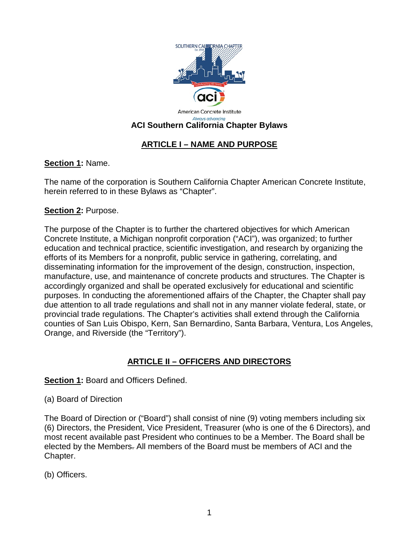

# **ARTICLE I – NAME AND PURPOSE**

## **Section 1:** Name.

The name of the corporation is Southern California Chapter American Concrete Institute, herein referred to in these Bylaws as "Chapter".

## **Section 2:** Purpose.

The purpose of the Chapter is to further the chartered objectives for which American Concrete Institute, a Michigan nonprofit corporation ("ACI"), was organized; to further education and technical practice, scientific investigation, and research by organizing the efforts of its Members for a nonprofit, public service in gathering, correlating, and disseminating information for the improvement of the design, construction, inspection, manufacture, use, and maintenance of concrete products and structures. The Chapter is accordingly organized and shall be operated exclusively for educational and scientific purposes. In conducting the aforementioned affairs of the Chapter, the Chapter shall pay due attention to all trade regulations and shall not in any manner violate federal, state, or provincial trade regulations. The Chapter's activities shall extend through the California counties of San Luis Obispo, Kern, San Bernardino, Santa Barbara, Ventura, Los Angeles, Orange, and Riverside (the "Territory").

# **ARTICLE II – OFFICERS AND DIRECTORS**

## **Section 1:** Board and Officers Defined.

(a) Board of Direction

The Board of Direction or ("Board") shall consist of nine (9) voting members including six (6) Directors, the President, Vice President, Treasurer (who is one of the 6 Directors), and most recent available past President who continues to be a Member. The Board shall be elected by the Members. All members of the Board must be members of ACI and the Chapter.

(b) Officers.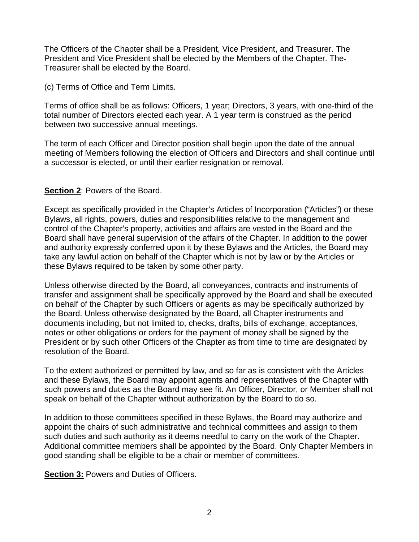The Officers of the Chapter shall be a President, Vice President, and Treasurer. The President and Vice President shall be elected by the Members of the Chapter. The Treasurer shall be elected by the Board.

(c) Terms of Office and Term Limits.

Terms of office shall be as follows: Officers, 1 year; Directors, 3 years, with one-third of the total number of Directors elected each year. A 1 year term is construed as the period between two successive annual meetings.

The term of each Officer and Director position shall begin upon the date of the annual meeting of Members following the election of Officers and Directors and shall continue until a successor is elected, or until their earlier resignation or removal.

### **Section 2**: Powers of the Board.

Except as specifically provided in the Chapter's Articles of Incorporation ("Articles") or these Bylaws, all rights, powers, duties and responsibilities relative to the management and control of the Chapter's property, activities and affairs are vested in the Board and the Board shall have general supervision of the affairs of the Chapter. In addition to the power and authority expressly conferred upon it by these Bylaws and the Articles, the Board may take any lawful action on behalf of the Chapter which is not by law or by the Articles or these Bylaws required to be taken by some other party.

Unless otherwise directed by the Board, all conveyances, contracts and instruments of transfer and assignment shall be specifically approved by the Board and shall be executed on behalf of the Chapter by such Officers or agents as may be specifically authorized by the Board. Unless otherwise designated by the Board, all Chapter instruments and documents including, but not limited to, checks, drafts, bills of exchange, acceptances, notes or other obligations or orders for the payment of money shall be signed by the President or by such other Officers of the Chapter as from time to time are designated by resolution of the Board.

To the extent authorized or permitted by law, and so far as is consistent with the Articles and these Bylaws, the Board may appoint agents and representatives of the Chapter with such powers and duties as the Board may see fit. An Officer, Director, or Member shall not speak on behalf of the Chapter without authorization by the Board to do so.

In addition to those committees specified in these Bylaws, the Board may authorize and appoint the chairs of such administrative and technical committees and assign to them such duties and such authority as it deems needful to carry on the work of the Chapter. Additional committee members shall be appointed by the Board. Only Chapter Members in good standing shall be eligible to be a chair or member of committees.

**Section 3:** Powers and Duties of Officers.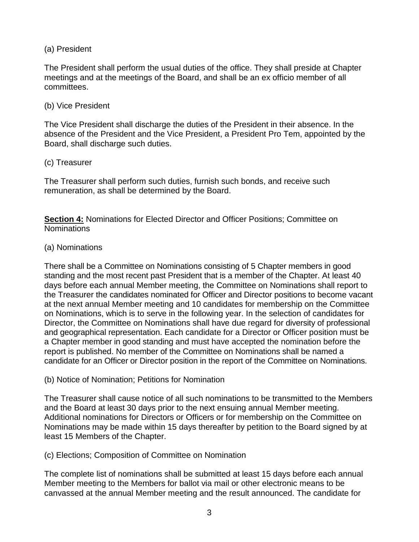(a) President

The President shall perform the usual duties of the office. They shall preside at Chapter meetings and at the meetings of the Board, and shall be an ex officio member of all committees.

#### (b) Vice President

The Vice President shall discharge the duties of the President in their absence. In the absence of the President and the Vice President, a President Pro Tem, appointed by the Board, shall discharge such duties.

### (c) Treasurer

The Treasurer shall perform such duties, furnish such bonds, and receive such remuneration, as shall be determined by the Board.

**Section 4:** Nominations for Elected Director and Officer Positions; Committee on Nominations

### (a) Nominations

There shall be a Committee on Nominations consisting of 5 Chapter members in good standing and the most recent past President that is a member of the Chapter. At least 40 days before each annual Member meeting, the Committee on Nominations shall report to the Treasurer the candidates nominated for Officer and Director positions to become vacant at the next annual Member meeting and 10 candidates for membership on the Committee on Nominations, which is to serve in the following year. In the selection of candidates for Director, the Committee on Nominations shall have due regard for diversity of professional and geographical representation. Each candidate for a Director or Officer position must be a Chapter member in good standing and must have accepted the nomination before the report is published. No member of the Committee on Nominations shall be named a candidate for an Officer or Director position in the report of the Committee on Nominations.

(b) Notice of Nomination; Petitions for Nomination

The Treasurer shall cause notice of all such nominations to be transmitted to the Members and the Board at least 30 days prior to the next ensuing annual Member meeting. Additional nominations for Directors or Officers or for membership on the Committee on Nominations may be made within 15 days thereafter by petition to the Board signed by at least 15 Members of the Chapter.

## (c) Elections; Composition of Committee on Nomination

The complete list of nominations shall be submitted at least 15 days before each annual Member meeting to the Members for ballot via mail or other electronic means to be canvassed at the annual Member meeting and the result announced. The candidate for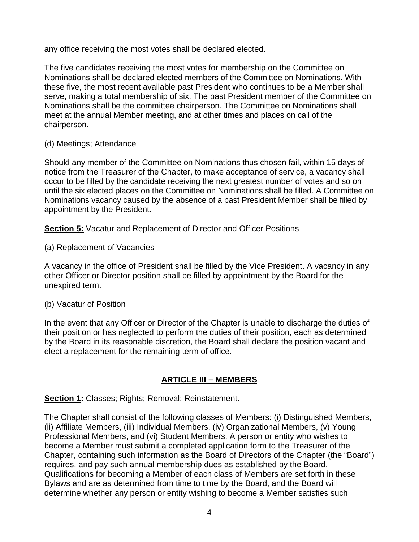any office receiving the most votes shall be declared elected.

The five candidates receiving the most votes for membership on the Committee on Nominations shall be declared elected members of the Committee on Nominations. With these five, the most recent available past President who continues to be a Member shall serve, making a total membership of six. The past President member of the Committee on Nominations shall be the committee chairperson. The Committee on Nominations shall meet at the annual Member meeting, and at other times and places on call of the chairperson.

(d) Meetings; Attendance

Should any member of the Committee on Nominations thus chosen fail, within 15 days of notice from the Treasurer of the Chapter, to make acceptance of service, a vacancy shall occur to be filled by the candidate receiving the next greatest number of votes and so on until the six elected places on the Committee on Nominations shall be filled. A Committee on Nominations vacancy caused by the absence of a past President Member shall be filled by appointment by the President.

**Section 5:** Vacatur and Replacement of Director and Officer Positions

(a) Replacement of Vacancies

A vacancy in the office of President shall be filled by the Vice President. A vacancy in any other Officer or Director position shall be filled by appointment by the Board for the unexpired term.

#### (b) Vacatur of Position

In the event that any Officer or Director of the Chapter is unable to discharge the duties of their position or has neglected to perform the duties of their position, each as determined by the Board in its reasonable discretion, the Board shall declare the position vacant and elect a replacement for the remaining term of office.

## **ARTICLE III – MEMBERS**

**Section 1:** Classes; Rights; Removal; Reinstatement.

The Chapter shall consist of the following classes of Members: (i) Distinguished Members, (ii) Affiliate Members, (iii) Individual Members, (iv) Organizational Members, (v) Young Professional Members, and (vi) Student Members. A person or entity who wishes to become a Member must submit a completed application form to the Treasurer of the Chapter, containing such information as the Board of Directors of the Chapter (the "Board") requires, and pay such annual membership dues as established by the Board. Qualifications for becoming a Member of each class of Members are set forth in these Bylaws and are as determined from time to time by the Board, and the Board will determine whether any person or entity wishing to become a Member satisfies such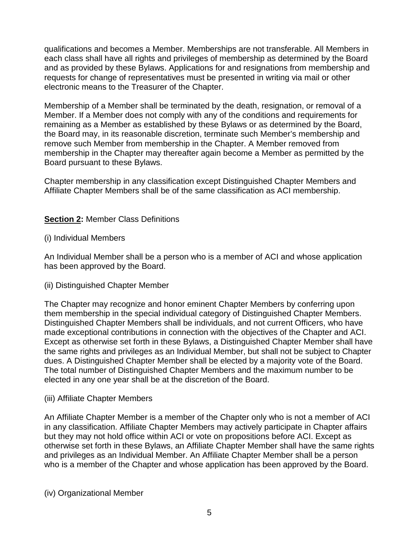qualifications and becomes a Member. Memberships are not transferable. All Members in each class shall have all rights and privileges of membership as determined by the Board and as provided by these Bylaws. Applications for and resignations from membership and requests for change of representatives must be presented in writing via mail or other electronic means to the Treasurer of the Chapter.

Membership of a Member shall be terminated by the death, resignation, or removal of a Member. If a Member does not comply with any of the conditions and requirements for remaining as a Member as established by these Bylaws or as determined by the Board, the Board may, in its reasonable discretion, terminate such Member's membership and remove such Member from membership in the Chapter. A Member removed from membership in the Chapter may thereafter again become a Member as permitted by the Board pursuant to these Bylaws.

Chapter membership in any classification except Distinguished Chapter Members and Affiliate Chapter Members shall be of the same classification as ACI membership.

## **Section 2:** Member Class Definitions

#### (i) Individual Members

An Individual Member shall be a person who is a member of ACI and whose application has been approved by the Board.

#### (ii) Distinguished Chapter Member

The Chapter may recognize and honor eminent Chapter Members by conferring upon them membership in the special individual category of Distinguished Chapter Members. Distinguished Chapter Members shall be individuals, and not current Officers, who have made exceptional contributions in connection with the objectives of the Chapter and ACI. Except as otherwise set forth in these Bylaws, a Distinguished Chapter Member shall have the same rights and privileges as an Individual Member, but shall not be subject to Chapter dues. A Distinguished Chapter Member shall be elected by a majority vote of the Board. The total number of Distinguished Chapter Members and the maximum number to be elected in any one year shall be at the discretion of the Board.

#### (iii) Affiliate Chapter Members

An Affiliate Chapter Member is a member of the Chapter only who is not a member of ACI in any classification. Affiliate Chapter Members may actively participate in Chapter affairs but they may not hold office within ACI or vote on propositions before ACI. Except as otherwise set forth in these Bylaws, an Affiliate Chapter Member shall have the same rights and privileges as an Individual Member. An Affiliate Chapter Member shall be a person who is a member of the Chapter and whose application has been approved by the Board.

(iv) Organizational Member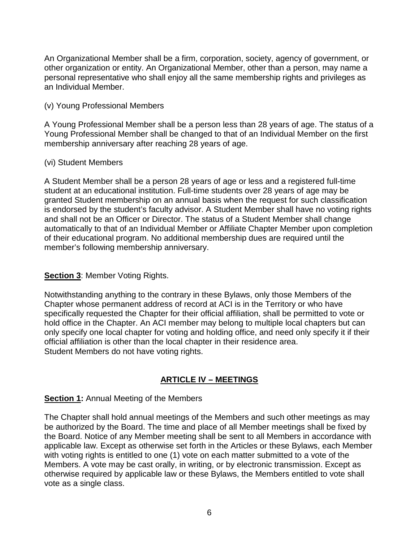An Organizational Member shall be a firm, corporation, society, agency of government, or other organization or entity. An Organizational Member, other than a person, may name a personal representative who shall enjoy all the same membership rights and privileges as an Individual Member.

#### (v) Young Professional Members

A Young Professional Member shall be a person less than 28 years of age. The status of a Young Professional Member shall be changed to that of an Individual Member on the first membership anniversary after reaching 28 years of age.

### (vi) Student Members

A Student Member shall be a person 28 years of age or less and a registered full-time student at an educational institution. Full-time students over 28 years of age may be granted Student membership on an annual basis when the request for such classification is endorsed by the student's faculty advisor. A Student Member shall have no voting rights and shall not be an Officer or Director. The status of a Student Member shall change automatically to that of an Individual Member or Affiliate Chapter Member upon completion of their educational program. No additional membership dues are required until the member's following membership anniversary.

## **Section 3: Member Voting Rights.**

Notwithstanding anything to the contrary in these Bylaws, only those Members of the Chapter whose permanent address of record at ACI is in the Territory or who have specifically requested the Chapter for their official affiliation, shall be permitted to vote or hold office in the Chapter. An ACI member may belong to multiple local chapters but can only specify one local chapter for voting and holding office, and need only specify it if their official affiliation is other than the local chapter in their residence area. Student Members do not have voting rights.

## **ARTICLE IV – MEETINGS**

## **Section 1:** Annual Meeting of the Members

The Chapter shall hold annual meetings of the Members and such other meetings as may be authorized by the Board. The time and place of all Member meetings shall be fixed by the Board. Notice of any Member meeting shall be sent to all Members in accordance with applicable law. Except as otherwise set forth in the Articles or these Bylaws, each Member with voting rights is entitled to one (1) vote on each matter submitted to a vote of the Members. A vote may be cast orally, in writing, or by electronic transmission. Except as otherwise required by applicable law or these Bylaws, the Members entitled to vote shall vote as a single class.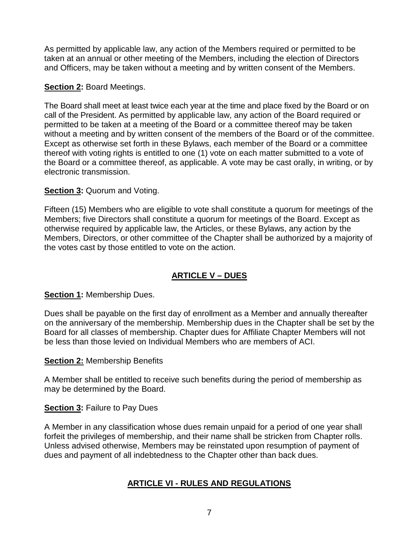As permitted by applicable law, any action of the Members required or permitted to be taken at an annual or other meeting of the Members, including the election of Directors and Officers, may be taken without a meeting and by written consent of the Members.

### **Section 2:** Board Meetings.

The Board shall meet at least twice each year at the time and place fixed by the Board or on call of the President. As permitted by applicable law, any action of the Board required or permitted to be taken at a meeting of the Board or a committee thereof may be taken without a meeting and by written consent of the members of the Board or of the committee. Except as otherwise set forth in these Bylaws, each member of the Board or a committee thereof with voting rights is entitled to one (1) vote on each matter submitted to a vote of the Board or a committee thereof, as applicable. A vote may be cast orally, in writing, or by electronic transmission.

### **Section 3: Quorum and Voting.**

Fifteen (15) Members who are eligible to vote shall constitute a quorum for meetings of the Members; five Directors shall constitute a quorum for meetings of the Board. Except as otherwise required by applicable law, the Articles, or these Bylaws, any action by the Members, Directors, or other committee of the Chapter shall be authorized by a majority of the votes cast by those entitled to vote on the action.

## **ARTICLE V – DUES**

## **Section 1:** Membership Dues.

Dues shall be payable on the first day of enrollment as a Member and annually thereafter on the anniversary of the membership. Membership dues in the Chapter shall be set by the Board for all classes of membership. Chapter dues for Affiliate Chapter Members will not be less than those levied on Individual Members who are members of ACI.

#### **Section 2:** Membership Benefits

A Member shall be entitled to receive such benefits during the period of membership as may be determined by the Board.

#### **Section 3:** Failure to Pay Dues

A Member in any classification whose dues remain unpaid for a period of one year shall forfeit the privileges of membership, and their name shall be stricken from Chapter rolls. Unless advised otherwise, Members may be reinstated upon resumption of payment of dues and payment of all indebtedness to the Chapter other than back dues.

## **ARTICLE VI - RULES AND REGULATIONS**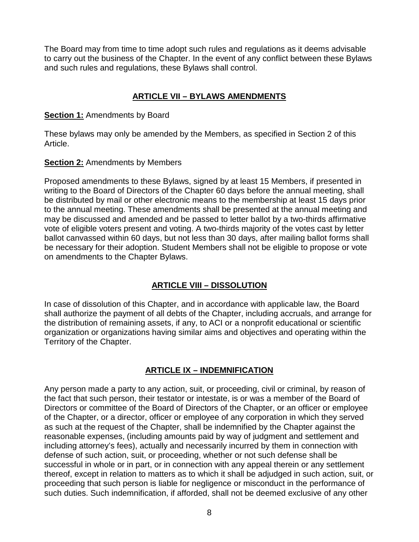The Board may from time to time adopt such rules and regulations as it deems advisable to carry out the business of the Chapter. In the event of any conflict between these Bylaws and such rules and regulations, these Bylaws shall control.

## **ARTICLE VII – BYLAWS AMENDMENTS**

#### **Section 1:** Amendments by Board

These bylaws may only be amended by the Members, as specified in Section 2 of this Article.

### **Section 2: Amendments by Members**

Proposed amendments to these Bylaws, signed by at least 15 Members, if presented in writing to the Board of Directors of the Chapter 60 days before the annual meeting, shall be distributed by mail or other electronic means to the membership at least 15 days prior to the annual meeting. These amendments shall be presented at the annual meeting and may be discussed and amended and be passed to letter ballot by a two-thirds affirmative vote of eligible voters present and voting. A two-thirds majority of the votes cast by letter ballot canvassed within 60 days, but not less than 30 days, after mailing ballot forms shall be necessary for their adoption. Student Members shall not be eligible to propose or vote on amendments to the Chapter Bylaws.

## **ARTICLE VIII – DISSOLUTION**

In case of dissolution of this Chapter, and in accordance with applicable law, the Board shall authorize the payment of all debts of the Chapter, including accruals, and arrange for the distribution of remaining assets, if any, to ACI or a nonprofit educational or scientific organization or organizations having similar aims and objectives and operating within the Territory of the Chapter.

## **ARTICLE IX – INDEMNIFICATION**

Any person made a party to any action, suit, or proceeding, civil or criminal, by reason of the fact that such person, their testator or intestate, is or was a member of the Board of Directors or committee of the Board of Directors of the Chapter, or an officer or employee of the Chapter, or a director, officer or employee of any corporation in which they served as such at the request of the Chapter, shall be indemnified by the Chapter against the reasonable expenses, (including amounts paid by way of judgment and settlement and including attorney's fees), actually and necessarily incurred by them in connection with defense of such action, suit, or proceeding, whether or not such defense shall be successful in whole or in part, or in connection with any appeal therein or any settlement thereof, except in relation to matters as to which it shall be adjudged in such action, suit, or proceeding that such person is liable for negligence or misconduct in the performance of such duties. Such indemnification, if afforded, shall not be deemed exclusive of any other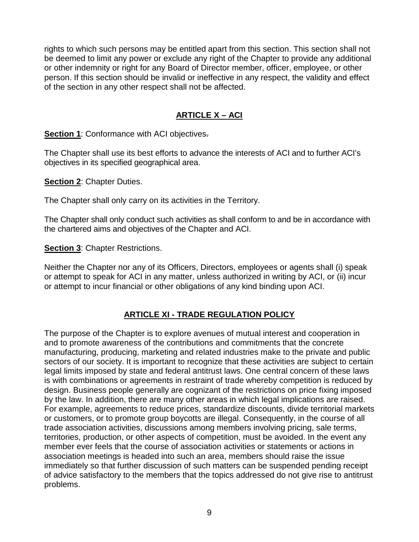rights to which such persons may be entitled apart from this section. This section shall not be deemed to limit any power or exclude any right of the Chapter to provide any additional or other indemnity or right for any Board of Director member, officer, employee, or other person. If this section should be invalid or ineffective in any respect, the validity and effect of the section in any other respect shall not be affected.

## **ARTICLE X – ACI**

**Section 1:** Conformance with ACI objectives.

The Chapter shall use its best efforts to advance the interests of ACI and to further ACI's objectives in its specified geographical area.

**Section 2**: Chapter Duties.

The Chapter shall only carry on its activities in the Territory.

The Chapter shall only conduct such activities as shall conform to and be in accordance with the chartered aims and objectives of the Chapter and ACI.

**Section 3: Chapter Restrictions.** 

Neither the Chapter nor any of its Officers, Directors, employees or agents shall (i) speak or attempt to speak for ACI in any matter, unless authorized in writing by ACI, or (ii) incur or attempt to incur financial or other obligations of any kind binding upon ACI.

## **ARTICLE XI - TRADE REGULATION POLICY**

The purpose of the Chapter is to explore avenues of mutual interest and cooperation in and to promote awareness of the contributions and commitments that the concrete manufacturing, producing, marketing and related industries make to the private and public sectors of our society. It is important to recognize that these activities are subject to certain legal limits imposed by state and federal antitrust laws. One central concern of these laws is with combinations or agreements in restraint of trade whereby competition is reduced by design. Business people generally are cognizant of the restrictions on price fixing imposed by the law. In addition, there are many other areas in which legal implications are raised. For example, agreements to reduce prices, standardize discounts, divide territorial markets or customers, or to promote group boycotts are illegal. Consequently, in the course of all trade association activities, discussions among members involving pricing, sale terms, territories, production, or other aspects of competition, must be avoided. In the event any member ever feels that the course of association activities or statements or actions in association meetings is headed into such an area, members should raise the issue immediately so that further discussion of such matters can be suspended pending receipt of advice satisfactory to the members that the topics addressed do not give rise to antitrust problems.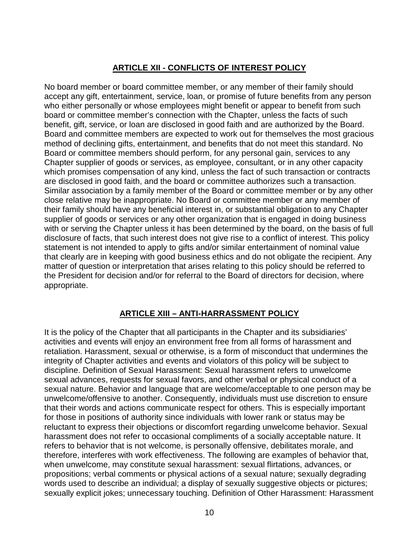#### **ARTICLE XII - CONFLICTS OF INTEREST POLICY**

No board member or board committee member, or any member of their family should accept any gift, entertainment, service, loan, or promise of future benefits from any person who either personally or whose employees might benefit or appear to benefit from such board or committee member's connection with the Chapter, unless the facts of such benefit, gift, service, or loan are disclosed in good faith and are authorized by the Board. Board and committee members are expected to work out for themselves the most gracious method of declining gifts, entertainment, and benefits that do not meet this standard. No Board or committee members should perform, for any personal gain, services to any Chapter supplier of goods or services, as employee, consultant, or in any other capacity which promises compensation of any kind, unless the fact of such transaction or contracts are disclosed in good faith, and the board or committee authorizes such a transaction. Similar association by a family member of the Board or committee member or by any other close relative may be inappropriate. No Board or committee member or any member of their family should have any beneficial interest in, or substantial obligation to any Chapter supplier of goods or services or any other organization that is engaged in doing business with or serving the Chapter unless it has been determined by the board, on the basis of full disclosure of facts, that such interest does not give rise to a conflict of interest. This policy statement is not intended to apply to gifts and/or similar entertainment of nominal value that clearly are in keeping with good business ethics and do not obligate the recipient. Any matter of question or interpretation that arises relating to this policy should be referred to the President for decision and/or for referral to the Board of directors for decision, where appropriate.

## **ARTICLE XIII – ANTI-HARRASSMENT POLICY**

It is the policy of the Chapter that all participants in the Chapter and its subsidiaries' activities and events will enjoy an environment free from all forms of harassment and retaliation. Harassment, sexual or otherwise, is a form of misconduct that undermines the integrity of Chapter activities and events and violators of this policy will be subject to discipline. Definition of Sexual Harassment: Sexual harassment refers to unwelcome sexual advances, requests for sexual favors, and other verbal or physical conduct of a sexual nature. Behavior and language that are welcome/acceptable to one person may be unwelcome/offensive to another. Consequently, individuals must use discretion to ensure that their words and actions communicate respect for others. This is especially important for those in positions of authority since individuals with lower rank or status may be reluctant to express their objections or discomfort regarding unwelcome behavior. Sexual harassment does not refer to occasional compliments of a socially acceptable nature. It refers to behavior that is not welcome, is personally offensive, debilitates morale, and therefore, interferes with work effectiveness. The following are examples of behavior that, when unwelcome, may constitute sexual harassment: sexual flirtations, advances, or propositions; verbal comments or physical actions of a sexual nature; sexually degrading words used to describe an individual; a display of sexually suggestive objects or pictures; sexually explicit jokes; unnecessary touching. Definition of Other Harassment: Harassment